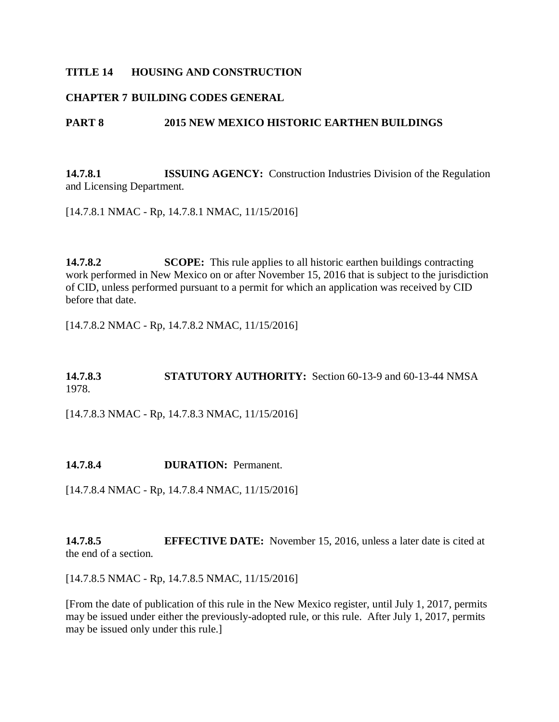#### **TITLE 14 HOUSING AND CONSTRUCTION**

#### **CHAPTER 7 BUILDING CODES GENERAL**

#### **PART 8 2015 NEW MEXICO HISTORIC EARTHEN BUILDINGS**

**14.7.8.1 ISSUING AGENCY:** Construction Industries Division of the Regulation and Licensing Department.

[14.7.8.1 NMAC - Rp, 14.7.8.1 NMAC, 11/15/2016]

**14.7.8.2 SCOPE:** This rule applies to all historic earthen buildings contracting work performed in New Mexico on or after November 15, 2016 that is subject to the jurisdiction of CID, unless performed pursuant to a permit for which an application was received by CID before that date.

[14.7.8.2 NMAC - Rp, 14.7.8.2 NMAC, 11/15/2016]

## **14.7.8.3 STATUTORY AUTHORITY:** Section 60-13-9 and 60-13-44 NMSA 1978.

[14.7.8.3 NMAC - Rp, 14.7.8.3 NMAC, 11/15/2016]

**14.7.8.4 DURATION:** Permanent.

[14.7.8.4 NMAC - Rp, 14.7.8.4 NMAC, 11/15/2016]

**14.7.8.5 EFFECTIVE DATE:** November 15, 2016, unless a later date is cited at the end of a section.

[14.7.8.5 NMAC - Rp, 14.7.8.5 NMAC, 11/15/2016]

[From the date of publication of this rule in the New Mexico register, until July 1, 2017, permits may be issued under either the previously-adopted rule, or this rule. After July 1, 2017, permits may be issued only under this rule.]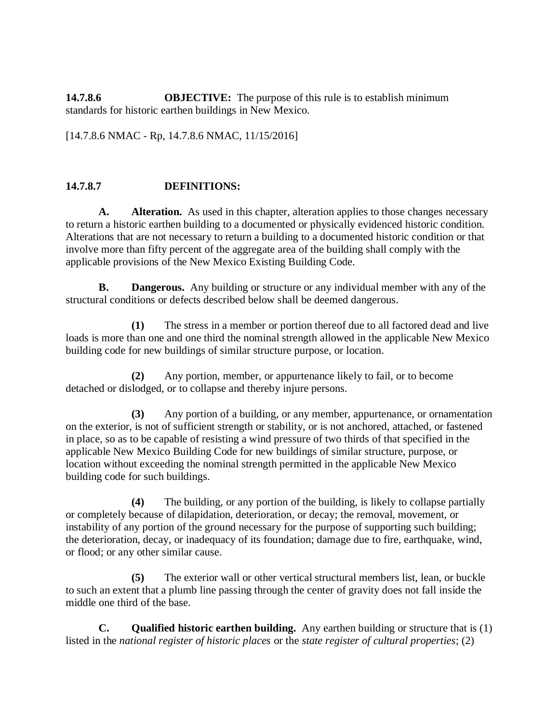**14.7.8.6 OBJECTIVE:** The purpose of this rule is to establish minimum standards for historic earthen buildings in New Mexico.

[14.7.8.6 NMAC - Rp, 14.7.8.6 NMAC, 11/15/2016]

#### **14.7.8.7 DEFINITIONS:**

**A. Alteration.** As used in this chapter, alteration applies to those changes necessary to return a historic earthen building to a documented or physically evidenced historic condition. Alterations that are not necessary to return a building to a documented historic condition or that involve more than fifty percent of the aggregate area of the building shall comply with the applicable provisions of the New Mexico Existing Building Code.

**B. Dangerous.** Any building or structure or any individual member with any of the structural conditions or defects described below shall be deemed dangerous.

**(1)** The stress in a member or portion thereof due to all factored dead and live loads is more than one and one third the nominal strength allowed in the applicable New Mexico building code for new buildings of similar structure purpose, or location.

**(2)** Any portion, member, or appurtenance likely to fail, or to become detached or dislodged, or to collapse and thereby injure persons.

**(3)** Any portion of a building, or any member, appurtenance, or ornamentation on the exterior, is not of sufficient strength or stability, or is not anchored, attached, or fastened in place, so as to be capable of resisting a wind pressure of two thirds of that specified in the applicable New Mexico Building Code for new buildings of similar structure, purpose, or location without exceeding the nominal strength permitted in the applicable New Mexico building code for such buildings.

**(4)** The building, or any portion of the building, is likely to collapse partially or completely because of dilapidation, deterioration, or decay; the removal, movement, or instability of any portion of the ground necessary for the purpose of supporting such building; the deterioration, decay, or inadequacy of its foundation; damage due to fire, earthquake, wind, or flood; or any other similar cause.

**(5)** The exterior wall or other vertical structural members list, lean, or buckle to such an extent that a plumb line passing through the center of gravity does not fall inside the middle one third of the base.

**C. Qualified historic earthen building.** Any earthen building or structure that is (1) listed in the *national register of historic places* or the *state register of cultural properties*; (2)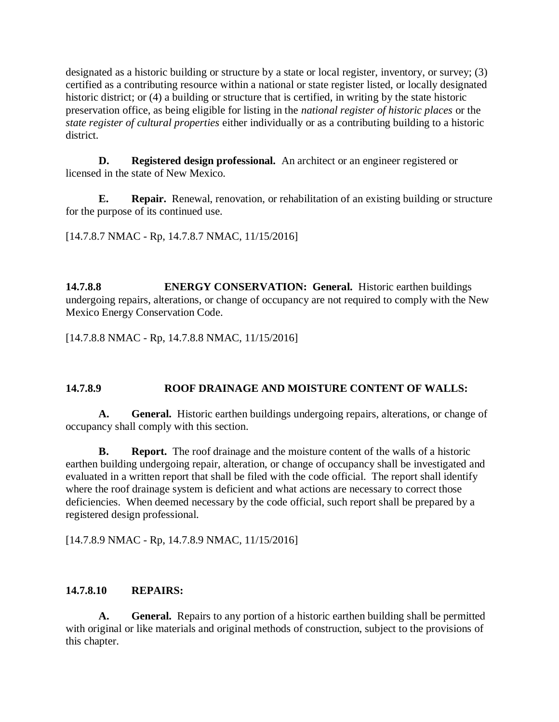designated as a historic building or structure by a state or local register, inventory, or survey; (3) certified as a contributing resource within a national or state register listed, or locally designated historic district; or (4) a building or structure that is certified, in writing by the state historic preservation office, as being eligible for listing in the *national register of historic places* or the *state register of cultural properties* either individually or as a contributing building to a historic district.

**D. Registered design professional.** An architect or an engineer registered or licensed in the state of New Mexico.

**E. Repair.** Renewal, renovation, or rehabilitation of an existing building or structure for the purpose of its continued use.

[14.7.8.7 NMAC - Rp, 14.7.8.7 NMAC, 11/15/2016]

**14.7.8.8 ENERGY CONSERVATION: General.** Historic earthen buildings undergoing repairs, alterations, or change of occupancy are not required to comply with the New Mexico Energy Conservation Code.

[14.7.8.8 NMAC - Rp, 14.7.8.8 NMAC, 11/15/2016]

# **14.7.8.9 ROOF DRAINAGE AND MOISTURE CONTENT OF WALLS:**

**A. General.** Historic earthen buildings undergoing repairs, alterations, or change of occupancy shall comply with this section.

**B. Report.** The roof drainage and the moisture content of the walls of a historic earthen building undergoing repair, alteration, or change of occupancy shall be investigated and evaluated in a written report that shall be filed with the code official. The report shall identify where the roof drainage system is deficient and what actions are necessary to correct those deficiencies. When deemed necessary by the code official, such report shall be prepared by a registered design professional.

[14.7.8.9 NMAC - Rp, 14.7.8.9 NMAC, 11/15/2016]

## **14.7.8.10 REPAIRS:**

**A. General.** Repairs to any portion of a historic earthen building shall be permitted with original or like materials and original methods of construction, subject to the provisions of this chapter.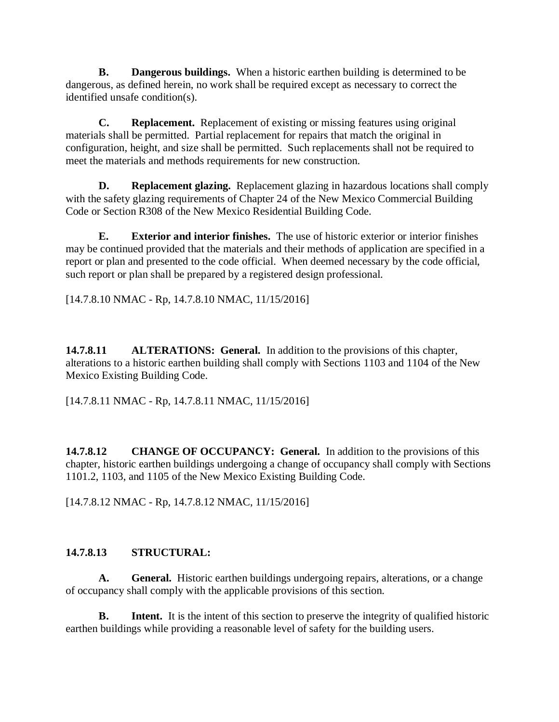**B. Dangerous buildings.** When a historic earthen building is determined to be dangerous, as defined herein, no work shall be required except as necessary to correct the identified unsafe condition(s).

**C. Replacement.** Replacement of existing or missing features using original materials shall be permitted. Partial replacement for repairs that match the original in configuration, height, and size shall be permitted. Such replacements shall not be required to meet the materials and methods requirements for new construction.

**D. Replacement glazing.** Replacement glazing in hazardous locations shall comply with the safety glazing requirements of Chapter 24 of the New Mexico Commercial Building Code or Section R308 of the New Mexico Residential Building Code.

**E. Exterior and interior finishes.** The use of historic exterior or interior finishes may be continued provided that the materials and their methods of application are specified in a report or plan and presented to the code official. When deemed necessary by the code official, such report or plan shall be prepared by a registered design professional.

[14.7.8.10 NMAC - Rp, 14.7.8.10 NMAC, 11/15/2016]

**14.7.8.11 ALTERATIONS: General.** In addition to the provisions of this chapter, alterations to a historic earthen building shall comply with Sections 1103 and 1104 of the New Mexico Existing Building Code.

[14.7.8.11 NMAC - Rp, 14.7.8.11 NMAC, 11/15/2016]

**14.7.8.12 CHANGE OF OCCUPANCY: General.** In addition to the provisions of this chapter, historic earthen buildings undergoing a change of occupancy shall comply with Sections 1101.2, 1103, and 1105 of the New Mexico Existing Building Code.

[14.7.8.12 NMAC - Rp, 14.7.8.12 NMAC, 11/15/2016]

# **14.7.8.13 STRUCTURAL:**

**A. General.** Historic earthen buildings undergoing repairs, alterations, or a change of occupancy shall comply with the applicable provisions of this section.

**B.** Intent. It is the intent of this section to preserve the integrity of qualified historic earthen buildings while providing a reasonable level of safety for the building users.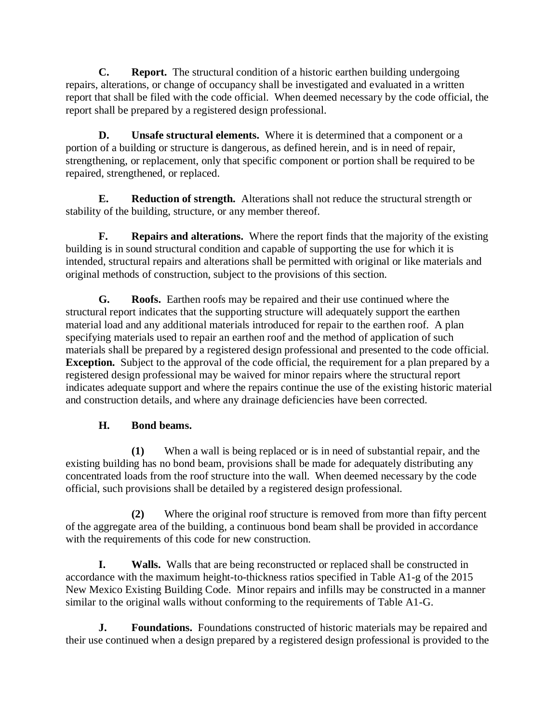**C. Report.** The structural condition of a historic earthen building undergoing repairs, alterations, or change of occupancy shall be investigated and evaluated in a written report that shall be filed with the code official. When deemed necessary by the code official, the report shall be prepared by a registered design professional.

**D. Unsafe structural elements.** Where it is determined that a component or a portion of a building or structure is dangerous, as defined herein, and is in need of repair, strengthening, or replacement, only that specific component or portion shall be required to be repaired, strengthened, or replaced.

**E. Reduction of strength.** Alterations shall not reduce the structural strength or stability of the building, structure, or any member thereof.

**F. Repairs and alterations.** Where the report finds that the majority of the existing building is in sound structural condition and capable of supporting the use for which it is intended, structural repairs and alterations shall be permitted with original or like materials and original methods of construction, subject to the provisions of this section.

**G. Roofs.** Earthen roofs may be repaired and their use continued where the structural report indicates that the supporting structure will adequately support the earthen material load and any additional materials introduced for repair to the earthen roof. A plan specifying materials used to repair an earthen roof and the method of application of such materials shall be prepared by a registered design professional and presented to the code official. **Exception.** Subject to the approval of the code official, the requirement for a plan prepared by a registered design professional may be waived for minor repairs where the structural report indicates adequate support and where the repairs continue the use of the existing historic material and construction details, and where any drainage deficiencies have been corrected.

# **H. Bond beams.**

**(1)** When a wall is being replaced or is in need of substantial repair, and the existing building has no bond beam, provisions shall be made for adequately distributing any concentrated loads from the roof structure into the wall. When deemed necessary by the code official, such provisions shall be detailed by a registered design professional.

**(2)** Where the original roof structure is removed from more than fifty percent of the aggregate area of the building, a continuous bond beam shall be provided in accordance with the requirements of this code for new construction.

**I. Walls.** Walls that are being reconstructed or replaced shall be constructed in accordance with the maximum height-to-thickness ratios specified in Table A1-g of the 2015 New Mexico Existing Building Code. Minor repairs and infills may be constructed in a manner similar to the original walls without conforming to the requirements of Table A1-G.

**J. Foundations.** Foundations constructed of historic materials may be repaired and their use continued when a design prepared by a registered design professional is provided to the